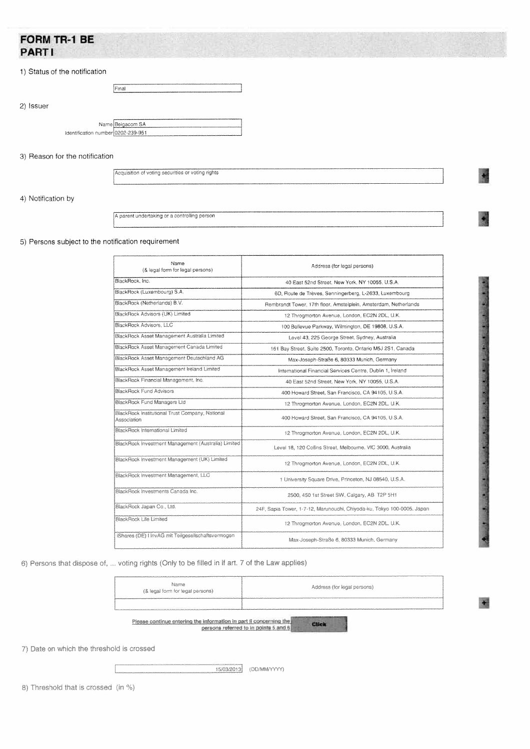# **FORM TR-1 BE PARTI**

### 1) Status of the notification

|           |                                    | Final            |
|-----------|------------------------------------|------------------|
| 2) Issuer |                                    |                  |
|           |                                    |                  |
|           |                                    | Name Belgacom SA |
|           | Identification number 0202-239-951 |                  |

### 3) Reason for the notification

Acquisition of voting securities or voting rights

## 4) Notification by

A parent undertaking or a controlling person

### 5) Persons subject to the notification requirement

| Name<br>(& legal form for legal persons)                       | Address (for legal persons)                                             |  |  |  |
|----------------------------------------------------------------|-------------------------------------------------------------------------|--|--|--|
| BlackRock, Inc.                                                | 40 East 52nd Street, New York, NY 10055, U.S.A.                         |  |  |  |
| BlackRock (Luxembourg) S.A.                                    | 6D, Route de Trèves, Senningerberg, L-2633, Luxembourg                  |  |  |  |
| BlackRock (Netherlands) B.V.                                   | Rembrandt Tower, 17th floor, Amstelplein, Amsterdam, Netherlands        |  |  |  |
| BlackRock Advisors (UK) Limited                                | 12 Throgmorton Avenue, London, EC2N 2DL, U.K.                           |  |  |  |
| <b>BlackRock Advisors, LLC</b>                                 | 100 Bellevue Parkway, Wilmington, DE 19808, U.S.A.                      |  |  |  |
| BlackRock Asset Management Australia Limited                   | Level 43, 225 George Street, Sydney, Australia                          |  |  |  |
| BlackRock Asset Management Canada Limited                      | 161 Bay Street, Suite 2500, Toronto, Ontario M5J 2S1, Canada            |  |  |  |
| BlackRock Asset Management Deutschland AG                      | Max-Joseph-Straße 6, 80333 Munich, Germany                              |  |  |  |
| BlackRock Asset Management Ireland Limited                     | International Financial Services Centre, Dublin 1, Ireland              |  |  |  |
| BlackRock Financial Management, Inc.                           | 40 East 52nd Street, New York, NY 10055, U.S.A.                         |  |  |  |
| <b>BlackRock Fund Advisors</b>                                 | 400 Howard Street, San Francisco, CA 94105, U.S.A.                      |  |  |  |
| BlackRock Fund Managers Ltd                                    | 12 Throgmorton Avenue, London, EC2N 2DL, U.K.                           |  |  |  |
| BlackRock Institutional Trust Company, National<br>Association | 400 Howard Street, San Francisco, CA 94105, U.S.A.                      |  |  |  |
| BlackRock International Limited                                | 12 Throgmorton Avenue, London, EC2N 2DL, U.K.                           |  |  |  |
| BlackRock Investment Management (Australia) Limited            | Level 18, 120 Collins Street, Melbourne, VIC 3000, Australia            |  |  |  |
| BlackRock Investment Management (UK) Limited                   | 12 Throgmorton Avenue, London, EC2N 2DL, U.K.                           |  |  |  |
| BlackRock Investment Management, LLC                           | 1 University Square Drive, Princeton, NJ 08540, U.S.A.                  |  |  |  |
| BlackRock Investments Canada Inc.                              | 2500, 450 1st Street SW, Calgary, AB T2P 5H1                            |  |  |  |
| BlackRock Japan Co., Ltd.                                      | 24F, Sapia Tower, 1-7-12, Marunouchi, Chiyoda-ku, Tokyo 100-0005, Japan |  |  |  |
| <b>BlackRock Life Limited</b>                                  | 12 Throgmorton Avenue, London, EC2N 2DL, U.K.                           |  |  |  |
| iShares (DE) I InvAG mit Teilgesellschaftsvermogen             | Max-Joseph-Straße 6, 80333 Munich, Germany                              |  |  |  |

6) Persons that dispose of, ... voting rights (Only to be filled in if art. 7 of the Law applies)

Name Address (for legal persons) (& legal form for legal persons) Please continue entering the information in part II concerning the<br>persons referred to in points 5 and 6 Click

7) Date on which the threshold is crossed

15/03/2013 (DD/MM/YYYY)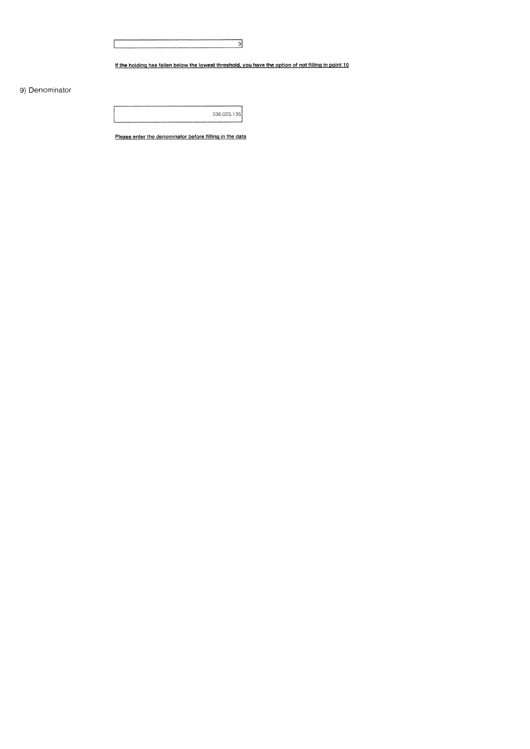# If the holding has fallen below the lowest threshold, you have the option of not filling in point 10

3j

## 9) Denominator



Please enter the denominator before filling in the data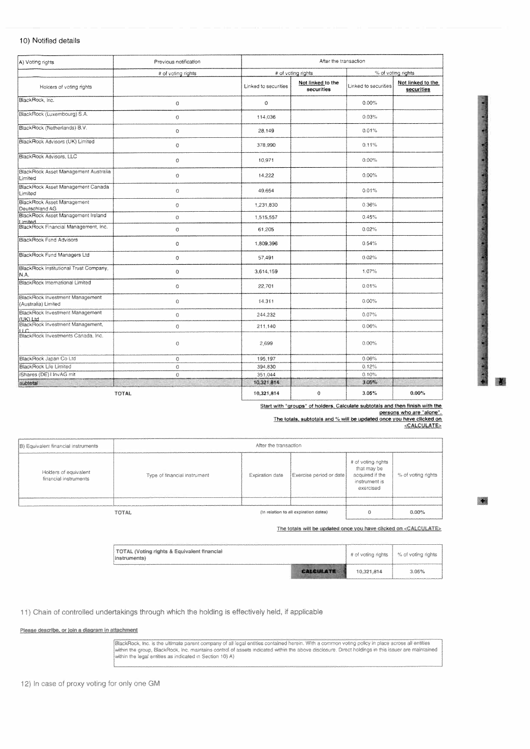### 10) Notified details

| A) Voting rights                                              | Previous notification | After the transaction |                                 |                      |                                 |
|---------------------------------------------------------------|-----------------------|-----------------------|---------------------------------|----------------------|---------------------------------|
|                                                               | # of voting rights    | # of voting rights    |                                 | % of voting rights   |                                 |
| Holders of voting rights                                      |                       | Linked to securities  | Not linked to the<br>securities | Linked to securities | Not linked to the<br>securities |
| BlackRock, Inc.                                               | $\circ$               | $\theta$              |                                 | 0.00%                |                                 |
| BlackRock (Luxembourg) S.A.                                   | $\circ$               | 114.036               |                                 | 0.03%                |                                 |
| BlackRock (Netherlands) B.V.                                  | $\circ$               | 28.149                |                                 | 0.01%                |                                 |
| BlackRock Advisors (UK) Limited                               | $\circ$               | 378,990               |                                 | 0.11%                |                                 |
| BlackRock Advisors, LLC                                       | $\circ$               | 10.971                |                                 | 0.00%                |                                 |
| BlackRock Asset Management Australia<br>Limited               | $\Omega$              | 14.222                |                                 | 0.00%                |                                 |
| BlackRock Asset Management Canada<br>Limited                  | $\circ$               | 49.654                |                                 | 0.01%                |                                 |
| BlackRock Asset Management<br>Deutschland AG                  | $\circ$               | 1,231,830             |                                 | 0.36%                |                                 |
| BlackRock Asset Management Ireland<br>I imited.               | $\circ$               | 1,515,557             |                                 | 0.45%                |                                 |
| BlackRock Financial Management, Inc.                          | $\theta$              | 61.205                |                                 | 0.02%                |                                 |
| <b>BlackRock Fund Advisors</b>                                | 0                     | 1,809,396             |                                 | 0.54%                |                                 |
| BlackRock Fund Managers Ltd                                   | $\circ$               | 57,491                |                                 | 0.02%                |                                 |
| BlackRock Institutional Trust Company,<br>N.A.                | $\Omega$              | 3,614.159             |                                 | 1.07%                |                                 |
| BlackRock International Limited                               | $\circ$               | 22.701                |                                 | 0.01%                |                                 |
| <b>BlackRock Investment Management</b><br>(Australia) Limited | $\mathbf{O}$          | 14.311                |                                 | $0.00\%$             |                                 |
| BlackRock Investment Management<br>(UK) Ltd.                  | $_{\rm O}$            | 244,232               |                                 | 0.07%                |                                 |
| BlackRock Investment Management,<br>ШC                        | $\sigma$              | 211,140               |                                 | 0.06%                |                                 |
| BlackRock Investments Canada, Inc.                            | $\theta$              | 2,699                 |                                 | $0.00\%$             |                                 |
| BlackRock Japan Co Ltd                                        | $\circ$               | 195.197               |                                 | 0.06%                |                                 |
| <b>BlackRock Life Limited</b>                                 | 0                     | 394,830               |                                 | 0.12%                |                                 |
| Shares (DE) I InvAG mit                                       | $\circ$               | 351.044               |                                 | 0.10%                |                                 |
| aubtotal                                                      |                       | 10,321.814            |                                 | 3.05%                |                                 |
|                                                               | <b>TOTAL</b>          | 10,321,814            | ō                               | 3.05%                | 0.00%                           |

Start with "groups" of holders. Calculate subtotals and then finish with the <u>Persons who are "alone".</u><br>The totals, subtotals and % will be updated once you have clicked on<br>CALCULATE>

| B) Equivalent financial instruments            | After the transaction        |                                       |                         |                                                                                    |                    |
|------------------------------------------------|------------------------------|---------------------------------------|-------------------------|------------------------------------------------------------------------------------|--------------------|
| Holders of equivalent<br>financial instruments | Type of financial instrument | Expiration date                       | Exercise period or date | # of voting rights<br>that may be<br>acquired if the<br>instrument is<br>exercised | % of voting rights |
|                                                |                              |                                       |                         |                                                                                    |                    |
| <b>TOTAL</b>                                   |                              | (in relation to all expiration dates) |                         | u                                                                                  | 0.00%              |

The totals will be updated once you have clicked on <CALCULATE>

| TOTAL (Voting rights & Equivalent financial<br>linstruments) |                 | # of voting rights | ↓ % of voting rights |  |
|--------------------------------------------------------------|-----------------|--------------------|----------------------|--|
|                                                              | <b>ALCULATE</b> | 10.321.814         | 3.05%                |  |

11) Chain of controlled undertakings through which the holding is effectively held, if applicable

#### Piease describe, or join a diagram in attachment

BlackRock, Inc. is the ultimate parent company of all legal entities contained herein. With a common voting policy in place across all entities within the group, BlackRock, Inc. maintains control of assets indicated within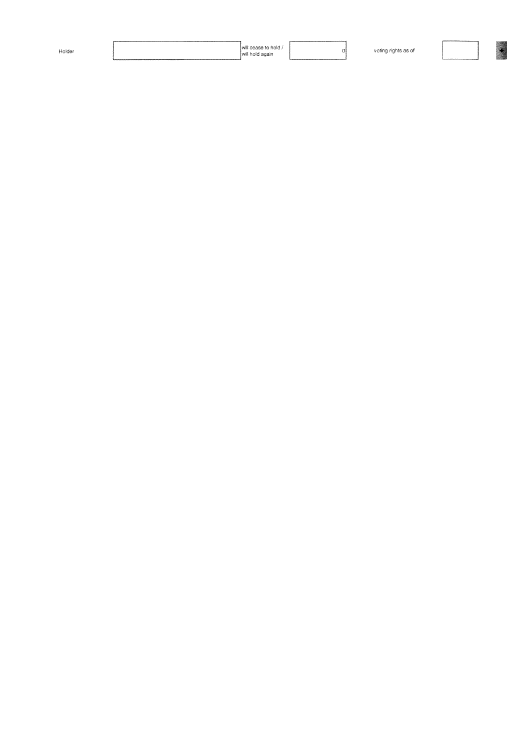|--|

voting rights as of

 $\circ$